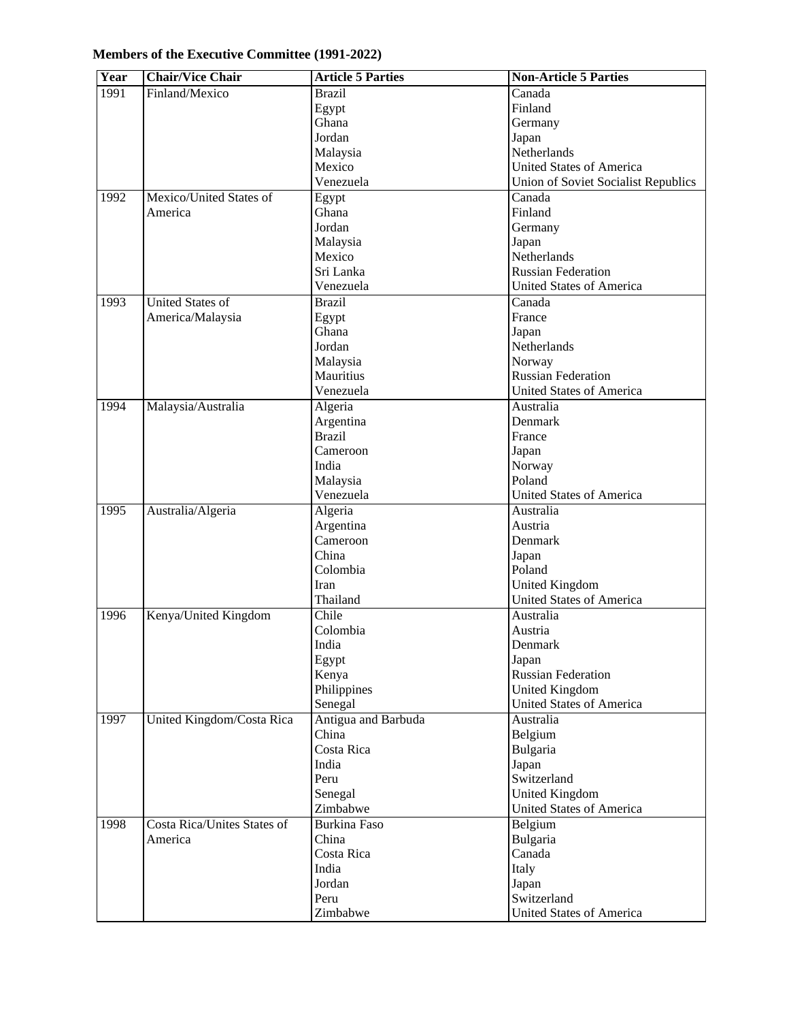| Members of the Executive Committee (1991-2022) |  |
|------------------------------------------------|--|
|------------------------------------------------|--|

| Year | <b>Chair/Vice Chair</b>            | <b>Article 5 Parties</b> | <b>Non-Article 5 Parties</b>        |
|------|------------------------------------|--------------------------|-------------------------------------|
| 1991 | Finland/Mexico                     | <b>Brazil</b>            | Canada                              |
|      |                                    | Egypt                    | Finland                             |
|      |                                    | Ghana                    | Germany                             |
|      |                                    | Jordan                   | Japan                               |
|      |                                    | Malaysia                 | Netherlands                         |
|      |                                    | Mexico                   | <b>United States of America</b>     |
|      |                                    | Venezuela                | Union of Soviet Socialist Republics |
| 1992 | Mexico/United States of            | Egypt                    | Canada                              |
|      | America                            | Ghana                    | Finland                             |
|      |                                    | Jordan                   | Germany                             |
|      |                                    | Malaysia                 | Japan                               |
|      |                                    | Mexico                   | Netherlands                         |
|      |                                    | Sri Lanka                | <b>Russian Federation</b>           |
|      |                                    | Venezuela                | <b>United States of America</b>     |
| 1993 | <b>United States of</b>            | <b>Brazil</b>            | Canada                              |
|      | America/Malaysia                   | Egypt                    | France                              |
|      |                                    | Ghana                    | Japan                               |
|      |                                    | Jordan                   | Netherlands                         |
|      |                                    | Malaysia                 | Norway                              |
|      |                                    | Mauritius                | <b>Russian Federation</b>           |
|      |                                    | Venezuela                | <b>United States of America</b>     |
| 1994 | Malaysia/Australia                 | Algeria                  | Australia                           |
|      |                                    | Argentina                | Denmark                             |
|      |                                    | <b>Brazil</b>            | France                              |
|      |                                    | Cameroon                 | Japan                               |
|      |                                    | India                    | Norway                              |
|      |                                    | Malaysia                 | Poland                              |
|      |                                    | Venezuela                | <b>United States of America</b>     |
| 1995 | Australia/Algeria                  | Algeria                  | Australia                           |
|      |                                    | Argentina                | Austria                             |
|      |                                    | Cameroon                 | Denmark                             |
|      |                                    | China                    | Japan                               |
|      |                                    | Colombia                 | Poland                              |
|      |                                    | Iran                     | United Kingdom                      |
|      |                                    | Thailand                 | <b>United States of America</b>     |
| 1996 | Kenya/United Kingdom               | Chile                    | Australia                           |
|      |                                    | Colombia                 | Austria                             |
|      |                                    | India                    | Denmark                             |
|      |                                    | Egypt                    | Japan                               |
|      |                                    | Kenya                    | <b>Russian Federation</b>           |
|      |                                    | Philippines              | United Kingdom                      |
|      |                                    | Senegal                  | <b>United States of America</b>     |
| 1997 | United Kingdom/Costa Rica          | Antigua and Barbuda      | Australia                           |
|      |                                    | China                    | Belgium                             |
|      |                                    | Costa Rica               | Bulgaria                            |
|      |                                    | India                    | Japan                               |
|      |                                    | Peru                     | Switzerland                         |
|      |                                    | Senegal                  | United Kingdom                      |
|      |                                    | Zimbabwe                 | United States of America            |
| 1998 | <b>Costa Rica/Unites States of</b> | <b>Burkina Faso</b>      | Belgium                             |
|      | America                            | China                    | Bulgaria                            |
|      |                                    | Costa Rica               | Canada                              |
|      |                                    | India                    | Italy                               |
|      |                                    | Jordan                   | Japan                               |
|      |                                    | Peru                     | Switzerland                         |
|      |                                    | Zimbabwe                 | <b>United States of America</b>     |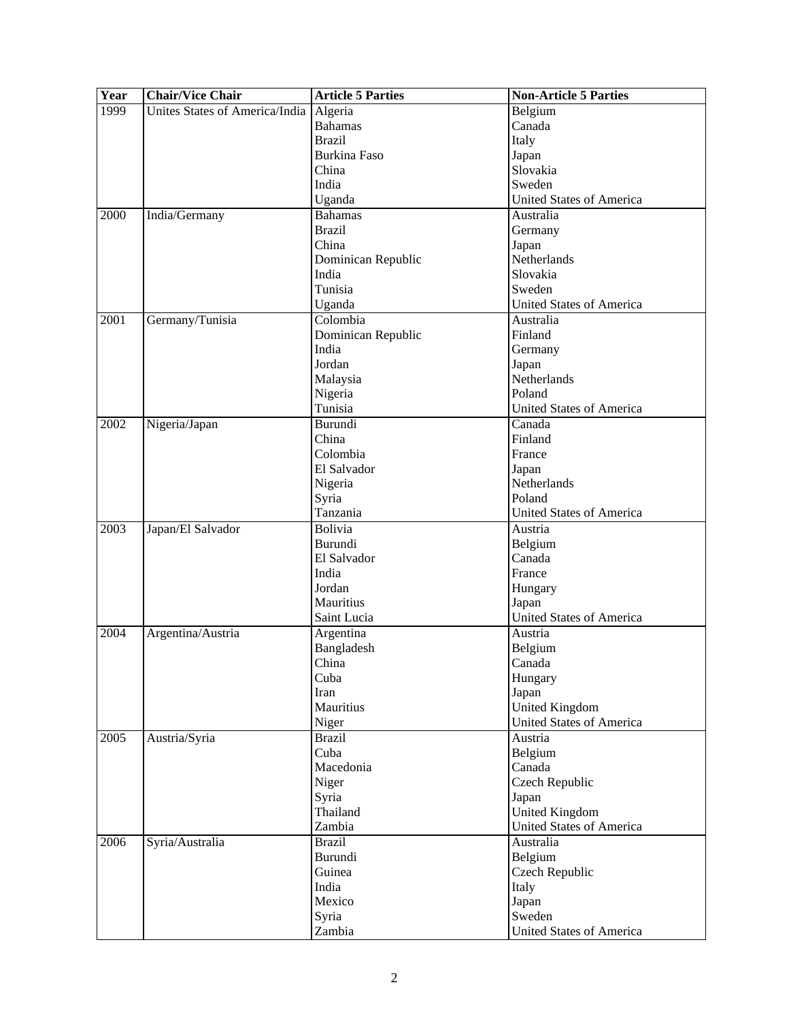| Year | <b>Chair/Vice Chair</b>        | <b>Article 5 Parties</b> | <b>Non-Article 5 Parties</b>    |
|------|--------------------------------|--------------------------|---------------------------------|
| 1999 | Unites States of America/India | Algeria                  | Belgium                         |
|      |                                | <b>Bahamas</b>           | Canada                          |
|      |                                | <b>Brazil</b>            | Italy                           |
|      |                                | <b>Burkina Faso</b>      | Japan                           |
|      |                                | China                    | Slovakia                        |
|      |                                | India                    | Sweden                          |
|      |                                | Uganda                   | <b>United States of America</b> |
| 2000 | India/Germany                  | <b>Bahamas</b>           | Australia                       |
|      |                                | <b>Brazil</b>            | Germany                         |
|      |                                | China                    | Japan                           |
|      |                                | Dominican Republic       | Netherlands                     |
|      |                                | India                    | Slovakia                        |
|      |                                | Tunisia                  | Sweden                          |
|      |                                | Uganda                   | <b>United States of America</b> |
| 2001 | Germany/Tunisia                | Colombia                 | Australia                       |
|      |                                | Dominican Republic       | Finland                         |
|      |                                | India                    | Germany                         |
|      |                                | Jordan                   | Japan                           |
|      |                                | Malaysia                 | Netherlands                     |
|      |                                | Nigeria                  | Poland                          |
|      |                                | Tunisia                  | <b>United States of America</b> |
| 2002 | Nigeria/Japan                  | Burundi                  | Canada                          |
|      |                                | China                    | Finland                         |
|      |                                | Colombia                 | France                          |
|      |                                | El Salvador              | Japan                           |
|      |                                | Nigeria                  | Netherlands                     |
|      |                                | Syria                    | Poland                          |
|      |                                | Tanzania                 | <b>United States of America</b> |
| 2003 | Japan/El Salvador              | <b>Bolivia</b>           | Austria                         |
|      |                                | Burundi                  | Belgium                         |
|      |                                | El Salvador              | Canada                          |
|      |                                | India                    | France                          |
|      |                                | Jordan                   | Hungary                         |
|      |                                | Mauritius                | Japan                           |
|      |                                | Saint Lucia              | United States of America        |
| 2004 | Argentina/Austria              | Argentina                | Austria                         |
|      |                                | Bangladesh               | Belgium                         |
|      |                                | China                    | Canada                          |
|      |                                | Cuba                     | Hungary                         |
|      |                                | Iran                     | Japan                           |
|      |                                | Mauritius                | <b>United Kingdom</b>           |
|      |                                | Niger                    | <b>United States of America</b> |
| 2005 | Austria/Syria                  | <b>Brazil</b>            | Austria                         |
|      |                                | Cuba                     | Belgium                         |
|      |                                | Macedonia                | Canada                          |
|      |                                | Niger                    | Czech Republic                  |
|      |                                | Syria                    | Japan                           |
|      |                                | Thailand                 | <b>United Kingdom</b>           |
|      |                                | Zambia                   | <b>United States of America</b> |
| 2006 | Syria/Australia                | <b>Brazil</b>            | Australia                       |
|      |                                | Burundi                  | Belgium                         |
|      |                                | Guinea                   | <b>Czech Republic</b>           |
|      |                                | India                    | Italy                           |
|      |                                | Mexico                   | Japan                           |
|      |                                | Syria                    | Sweden                          |
|      |                                | Zambia                   | <b>United States of America</b> |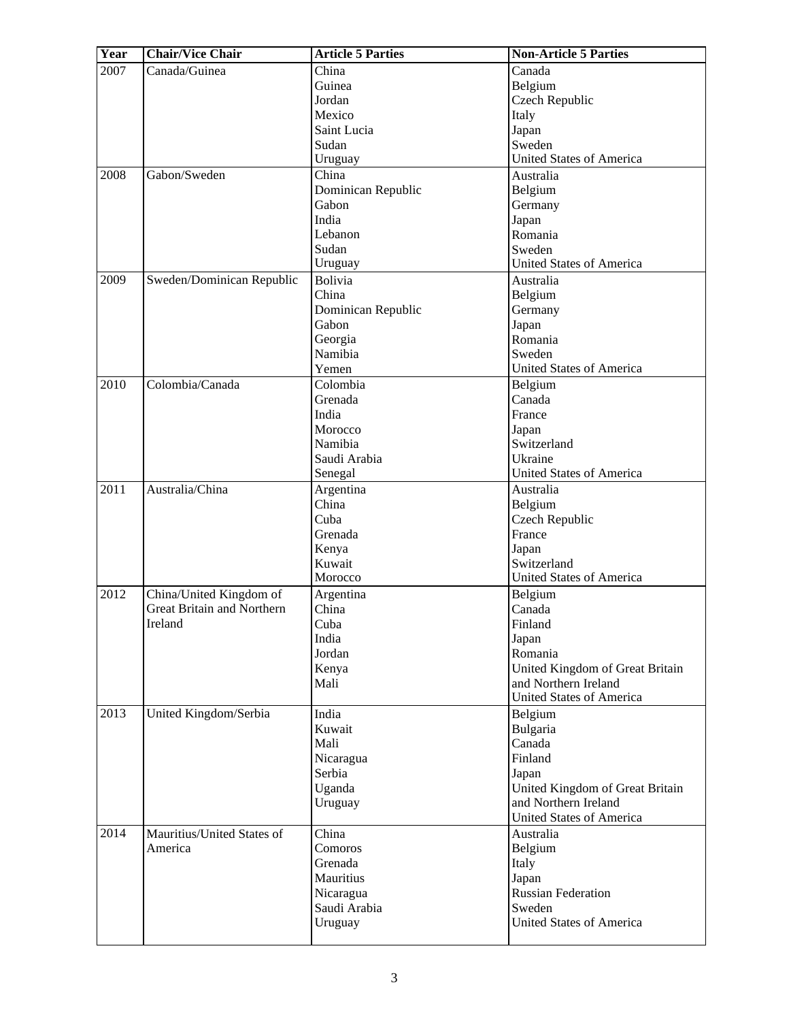| Year | <b>Chair/Vice Chair</b>           | <b>Article 5 Parties</b> | <b>Non-Article 5 Parties</b>        |
|------|-----------------------------------|--------------------------|-------------------------------------|
| 2007 | Canada/Guinea                     | China                    | Canada                              |
|      |                                   | Guinea                   | Belgium                             |
|      |                                   | Jordan                   | Czech Republic                      |
|      |                                   | Mexico                   | Italy                               |
|      |                                   | Saint Lucia              | Japan                               |
|      |                                   | Sudan                    | Sweden                              |
|      |                                   | Uruguay                  | <b>United States of America</b>     |
| 2008 | Gabon/Sweden                      | China                    | Australia                           |
|      |                                   | Dominican Republic       | Belgium                             |
|      |                                   | Gabon                    | Germany                             |
|      |                                   | India                    | Japan                               |
|      |                                   | Lebanon                  | Romania                             |
|      |                                   | Sudan                    | Sweden                              |
|      |                                   | Uruguay                  | <b>United States of America</b>     |
| 2009 | Sweden/Dominican Republic         | <b>Bolivia</b>           | Australia                           |
|      |                                   | China                    | Belgium                             |
|      |                                   | Dominican Republic       | Germany                             |
|      |                                   | Gabon                    | Japan                               |
|      |                                   | Georgia                  | Romania                             |
|      |                                   | Namibia                  | Sweden                              |
|      |                                   | Yemen                    | <b>United States of America</b>     |
| 2010 | Colombia/Canada                   | Colombia                 | Belgium                             |
|      |                                   | Grenada                  | Canada                              |
|      |                                   | India                    | France                              |
|      |                                   | Morocco                  | Japan                               |
|      |                                   | Namibia                  | Switzerland                         |
|      |                                   | Saudi Arabia             | Ukraine                             |
|      |                                   | Senegal                  | <b>United States of America</b>     |
| 2011 | Australia/China                   | Argentina                | Australia                           |
|      |                                   | China                    | Belgium                             |
|      |                                   | Cuba                     | Czech Republic                      |
|      |                                   | Grenada                  | France                              |
|      |                                   | Kenya                    | Japan                               |
|      |                                   | Kuwait                   | Switzerland                         |
|      |                                   | Morocco                  | <b>United States of America</b>     |
| 2012 | China/United Kingdom of           | Argentina                | Belgium                             |
|      | <b>Great Britain and Northern</b> | China                    | Canada                              |
|      | Ireland                           | Cuba                     | Finland                             |
|      |                                   | India                    | Japan                               |
|      |                                   | Jordan                   | Romania                             |
|      |                                   | Kenya                    | United Kingdom of Great Britain     |
|      |                                   | Mali                     | and Northern Ireland                |
|      |                                   |                          | <b>United States of America</b>     |
| 2013 | United Kingdom/Serbia             | India                    | Belgium                             |
|      |                                   | Kuwait                   | Bulgaria                            |
|      |                                   | Mali                     | Canada                              |
|      |                                   | Nicaragua                | Finland                             |
|      |                                   | Serbia                   | Japan                               |
|      |                                   | Uganda                   | United Kingdom of Great Britain     |
|      |                                   | Uruguay                  | and Northern Ireland                |
|      |                                   |                          | <b>United States of America</b>     |
| 2014 | Mauritius/United States of        | China                    | Australia                           |
|      | America                           | Comoros                  | Belgium                             |
|      |                                   | Grenada                  | Italy                               |
|      |                                   | Mauritius                | Japan                               |
|      |                                   | Nicaragua                | <b>Russian Federation</b><br>Sweden |
|      |                                   | Saudi Arabia             | <b>United States of America</b>     |
|      |                                   | Uruguay                  |                                     |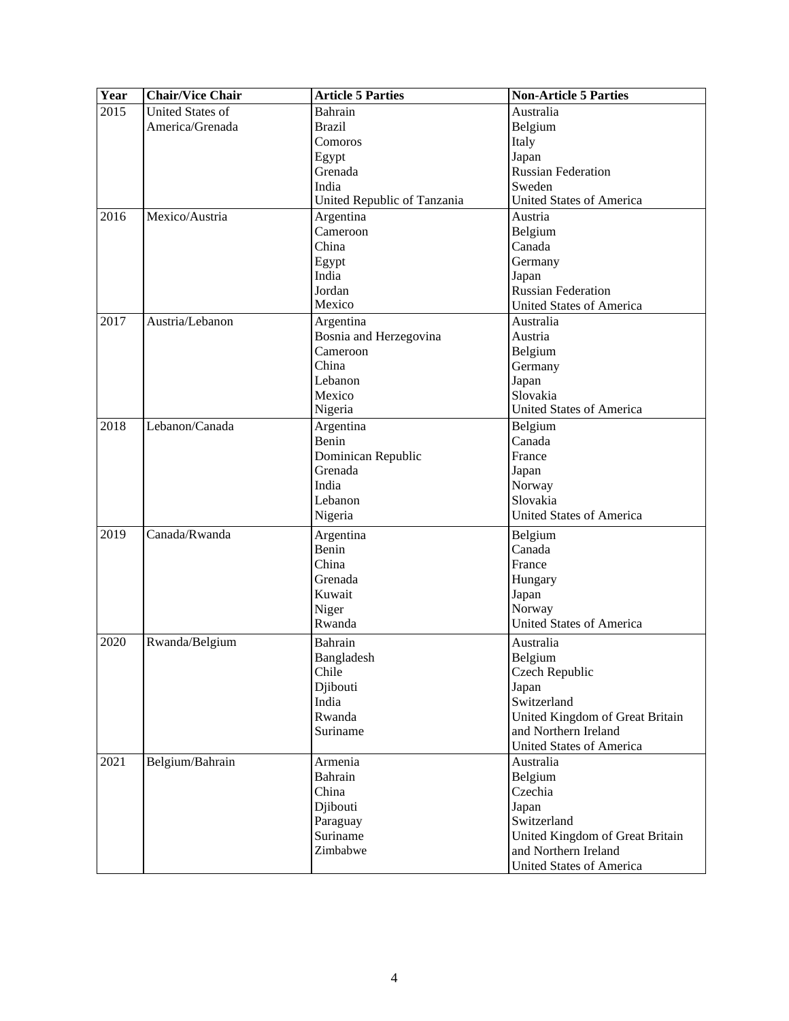| Year | <b>Chair/Vice Chair</b> | <b>Article 5 Parties</b>    | <b>Non-Article 5 Parties</b>    |
|------|-------------------------|-----------------------------|---------------------------------|
| 2015 | <b>United States of</b> | Bahrain                     | Australia                       |
|      | America/Grenada         | <b>Brazil</b>               | Belgium                         |
|      |                         | Comoros                     | Italy                           |
|      |                         | Egypt                       | Japan                           |
|      |                         | Grenada                     | <b>Russian Federation</b>       |
|      |                         | India                       | Sweden                          |
|      |                         | United Republic of Tanzania | <b>United States of America</b> |
| 2016 | Mexico/Austria          | Argentina                   | Austria                         |
|      |                         | Cameroon                    | Belgium                         |
|      |                         | China                       | Canada                          |
|      |                         | Egypt                       | Germany                         |
|      |                         | India                       | Japan                           |
|      |                         | Jordan                      | <b>Russian Federation</b>       |
|      |                         | Mexico                      | <b>United States of America</b> |
| 2017 | Austria/Lebanon         | Argentina                   | Australia                       |
|      |                         | Bosnia and Herzegovina      | Austria                         |
|      |                         | Cameroon                    | Belgium                         |
|      |                         | China                       | Germany                         |
|      |                         | Lebanon                     | Japan                           |
|      |                         | Mexico                      | Slovakia                        |
|      |                         | Nigeria                     | <b>United States of America</b> |
| 2018 | Lebanon/Canada          | Argentina                   | Belgium                         |
|      |                         | Benin                       | Canada                          |
|      |                         | Dominican Republic          | France                          |
|      |                         | Grenada                     | Japan                           |
|      |                         | India                       | Norway                          |
|      |                         | Lebanon                     | Slovakia                        |
|      |                         | Nigeria                     | <b>United States of America</b> |
| 2019 | Canada/Rwanda           | Argentina                   | Belgium                         |
|      |                         | Benin                       | Canada                          |
|      |                         | China                       | France                          |
|      |                         | Grenada                     | Hungary                         |
|      |                         | Kuwait                      | Japan                           |
|      |                         | Niger                       | Norway                          |
|      |                         | Rwanda                      | <b>United States of America</b> |
| 2020 | Rwanda/Belgium          | Bahrain                     | Australia                       |
|      |                         | Bangladesh                  | Belgium                         |
|      |                         | Chile                       | Czech Republic                  |
|      |                         | Djibouti                    | Japan                           |
|      |                         | India                       | Switzerland                     |
|      |                         | Rwanda                      | United Kingdom of Great Britain |
|      |                         | Suriname                    | and Northern Ireland            |
|      |                         |                             | <b>United States of America</b> |
| 2021 | Belgium/Bahrain         | Armenia                     | Australia                       |
|      |                         | Bahrain                     | Belgium                         |
|      |                         | China                       | Czechia                         |
|      |                         | Djibouti                    | Japan                           |
|      |                         | Paraguay                    | Switzerland                     |
|      |                         | Suriname                    | United Kingdom of Great Britain |
|      |                         | Zimbabwe                    | and Northern Ireland            |
|      |                         |                             | <b>United States of America</b> |